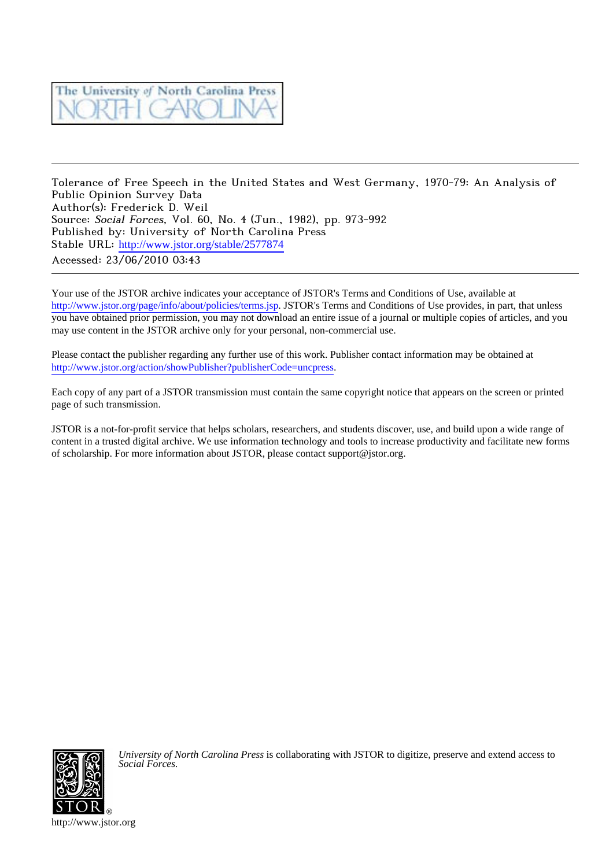

Tolerance of Free Speech in the United States and West Germany, 1970-79: An Analysis of Public Opinion Survey Data Author(s): Frederick D. Weil Source: Social Forces, Vol. 60, No. 4 (Jun., 1982), pp. 973-992 Published by: University of North Carolina Press Stable URL: [http://www.jstor.org/stable/2577874](http://www.jstor.org/stable/2577874?origin=JSTOR-pdf) Accessed: 23/06/2010 03:43

Your use of the JSTOR archive indicates your acceptance of JSTOR's Terms and Conditions of Use, available at <http://www.jstor.org/page/info/about/policies/terms.jsp>. JSTOR's Terms and Conditions of Use provides, in part, that unless you have obtained prior permission, you may not download an entire issue of a journal or multiple copies of articles, and you may use content in the JSTOR archive only for your personal, non-commercial use.

Please contact the publisher regarding any further use of this work. Publisher contact information may be obtained at [http://www.jstor.org/action/showPublisher?publisherCode=uncpress.](http://www.jstor.org/action/showPublisher?publisherCode=uncpress)

Each copy of any part of a JSTOR transmission must contain the same copyright notice that appears on the screen or printed page of such transmission.

JSTOR is a not-for-profit service that helps scholars, researchers, and students discover, use, and build upon a wide range of content in a trusted digital archive. We use information technology and tools to increase productivity and facilitate new forms of scholarship. For more information about JSTOR, please contact support@jstor.org.



*University of North Carolina Press* is collaborating with JSTOR to digitize, preserve and extend access to *Social Forces.*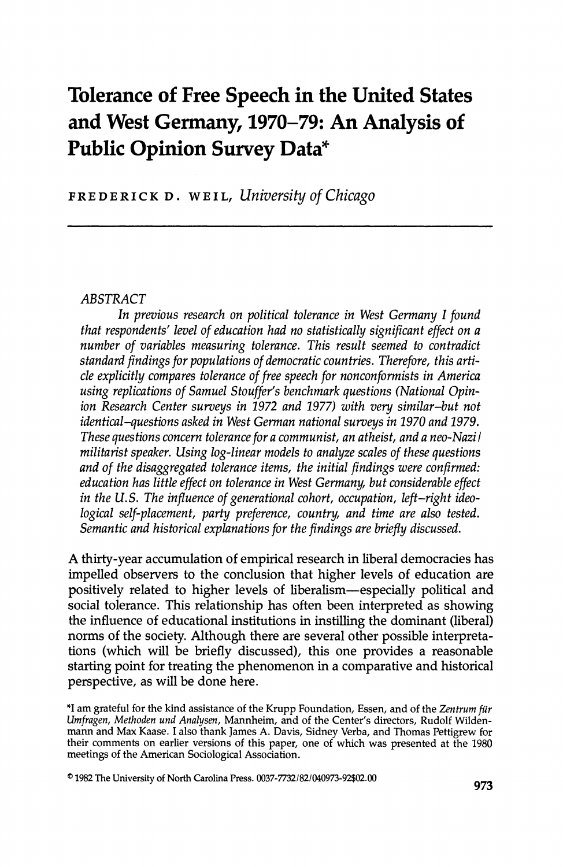# **Tolerance of Free Speech in the United States and West Germany, 1970-79: An Analysis of Public Opinion Survey Data\***

**FREDERICK D. WEIL, University of Chicago** 

#### **ABSTRACT**

**In previous research on political tolerance in West Germany I found that respondents' level of education had no statistically significant effect on a number of variables measuring tolerance. This result seemed to contradict standard findings for populations of democratic countries. Therefore, this article explicitly compares tolerance of free speech for nonconformists in America using replications of Samuel Stouffer's benchmark questions (National Opinion Research Center surveys in 1972 and 1977) with very similar-but not identical-questions asked in West German national surveys in 1970 and 1979. These questions concern tolerancefor a communist, an atheist, and a neo-Nazil militarist speaker. Using log-linear models to analyze scales of these questions and of the disaggregated tolerance items, the initial findings were confirmed: education has little effect on tolerance in West Germany, but considerable effect in the U.S. The influence of generational cohort, occupation, left-right ideological self-placement, party preference, country, and time are also tested. Semantic and historical explanations for the findings are briefly discussed.** 

**A thirty-year accumulation of empirical research in liberal democracies has impelled observers to the conclusion that higher levels of education are positively related to higher levels of liberalism-especially political and social tolerance. This relationship has often been interpreted as showing the influence of educational institutions in instilling the dominant (liberal) norms of the society. Although there are several other possible interpretations (which will be briefly discussed), this one provides a reasonable starting point for treating the phenomenon in a comparative and historical perspective, as will be done here.** 

\*I am grateful for the kind assistance of the Krupp Foundation, Essen, and of the Zentrum für **Umfragen, Methoden und Analysen, Mannheim, and of the Center's directors, Rudolf Wildenmann and Max Kaase. I also thank James A. Davis, Sidney Verba, and Thomas Pettigrew for their comments on earlier versions of this paper, one of which was presented at the 1980 meetings of the American Sociological Association.** 

**? 1982 The University of North Carolina Press. 0037-7732/82/040973-92\$02.00 973**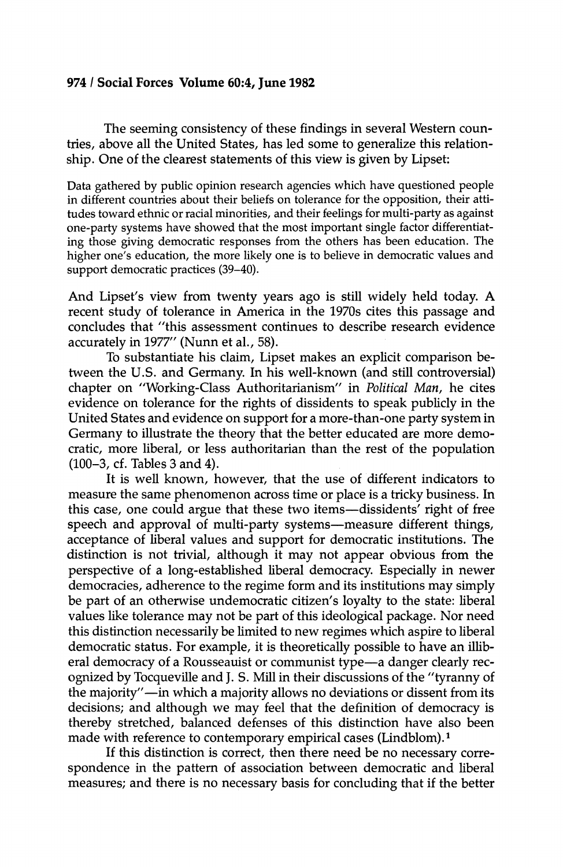**The seeming consistency of these findings in several Western countries, above all the United States, has led some to generalize this relationship. One of the clearest statements of this view is given by Lipset:** 

**Data gathered by public opinion research agencies which have questioned people in different countries about their beliefs on tolerance for the opposition, their attitudes toward ethnic or racial minorities, and their feelings for multi-party as against one-party systems have showed that the most important single factor differentiating those giving democratic responses from the others has been education. The higher one's education, the more likely one is to believe in democratic values and support democratic practices (39-40).** 

**And Lipset's view from twenty years ago is still widely held today. A recent study of tolerance in America in the 1970s cites this passage and concludes that "this assessment continues to describe research evidence accurately in 1977" (Nunn et al., 58).** 

**To substantiate his claim, Lipset makes an explicit comparison between the U.S. and Germany. In his well-known (and still controversial) chapter on "Working-Class Authoritarianism" in Political Man, he cites evidence on tolerance for the rights of dissidents to speak publicly in the United States and evidence on support for a more-than-one party system in Germany to illustrate the theory that the better educated are more democratic, more liberal, or less authoritarian than the rest of the population (100-3, cf. Tables 3 and 4).** 

**It is well known, however, that the use of different indicators to measure the same phenomenon across time or place is a tricky business. In this case, one could argue that these two items-dissidents' right of free**  speech and approval of multi-party systems-measure different things, **acceptance of liberal values and support for democratic institutions. The distinction is not trivial, although it may not appear obvious from the perspective of a long-established liberal democracy. Especially in newer democracies, adherence to the regime form and its institutions may simply be part of an otherwise undemocratic citizen's loyalty to the state: liberal values like tolerance may not be part of this ideological package. Nor need this distinction necessarily be limited to new regimes which aspire to liberal democratic status. For example, it is theoretically possible to have an illib**eral democracy of a Rousseauist or communist type-a danger clearly rec**ognized by Tocqueville and J. S. Mill in their discussions of the "tyranny of the majority"-in which a majority allows no deviations or dissent from its decisions; and although we may feel that the definition of democracy is thereby stretched, balanced defenses of this distinction have also been made with reference to contemporary empirical cases (Lindblom). 1** 

**If this distinction is correct, then there need be no necessary correspondence in the pattern of association between democratic and liberal measures; and there is no necessary basis for concluding that if the better**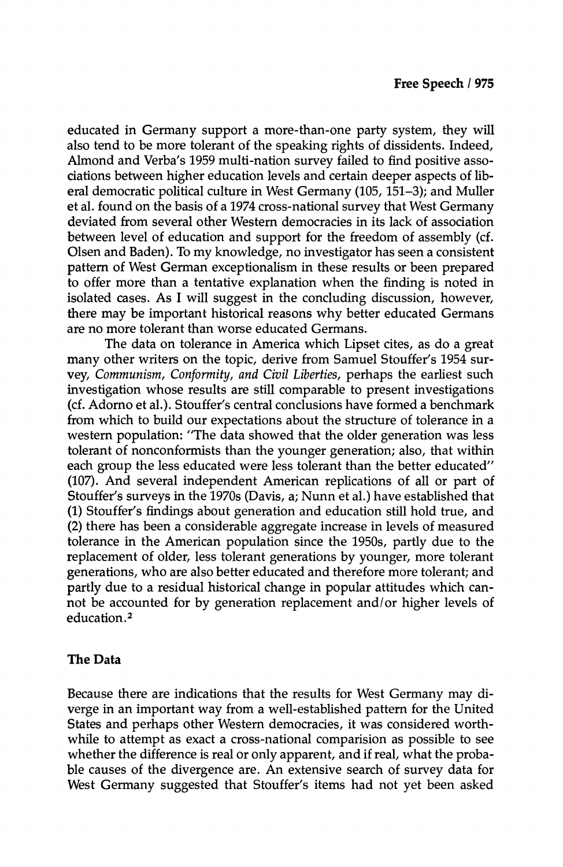**educated in Germany support a more-than-one party system, they will also tend to be more tolerant of the speaking rights of dissidents. Indeed, Almond and Verba's 1959 multi-nation survey failed to find positive associations between higher education levels and certain deeper aspects of liberal democratic political culture in West Germany (105, 151-3); and Muller et al. found on the basis of a 1974 cross-national survey that West Germany deviated from several other Western democracies in its lack of association between level of education and support for the freedom of assembly (cf. Olsen and Baden). To my knowledge, no investigator has seen a consistent pattern of West German exceptionalism in these results or been prepared to offer more than a tentative explanation when the finding is noted in isolated cases. As I will suggest in the concluding discussion, however, there may be important historical reasons why better educated Germans are no more tolerant than worse educated Germans.** 

**The data on tolerance in America which Lipset cites, as do a great many other writers on the topic, derive from Samuel Stouffer's 1954 survey, Communism, Conformity, and Civil Liberties, perhaps the earliest such investigation whose results are still comparable to present investigations (cf. Adorno et al.). Stouffer's central conclusions have formed a benchmark from which to build our expectations about the structure of tolerance in a western population: "The data showed that the older generation was less tolerant of nonconformists than the younger generation; also, that within each group the less educated were less tolerant than the better educated" (107). And several independent American replications of all or part of Stouffer's surveys in the 1970s (Davis, a; Nunn et al.) have established that (1) Stouffer's findings about generation and education still hold true, and (2) there has been a considerable aggregate increase in levels of measured tolerance in the American population since the 1950s, partly due to the replacement of older, less tolerant generations by younger, more tolerant generations, who are also better educated and therefore more tolerant; and partly due to a residual historical change in popular attitudes which cannot be accounted for by generation replacement and/or higher levels of education.2** 

# **The Data**

**Because there are indications that the results for West Germany may diverge in an important way from a well-established pattern for the United States and perhaps other Western democracies, it was considered worthwhile to attempt as exact a cross-national comparision as possible to see whether the difference is real or only apparent, and if real, what the probable causes of the divergence are. An extensive search of survey data for West Germany suggested that Stouffer's items had not yet been asked**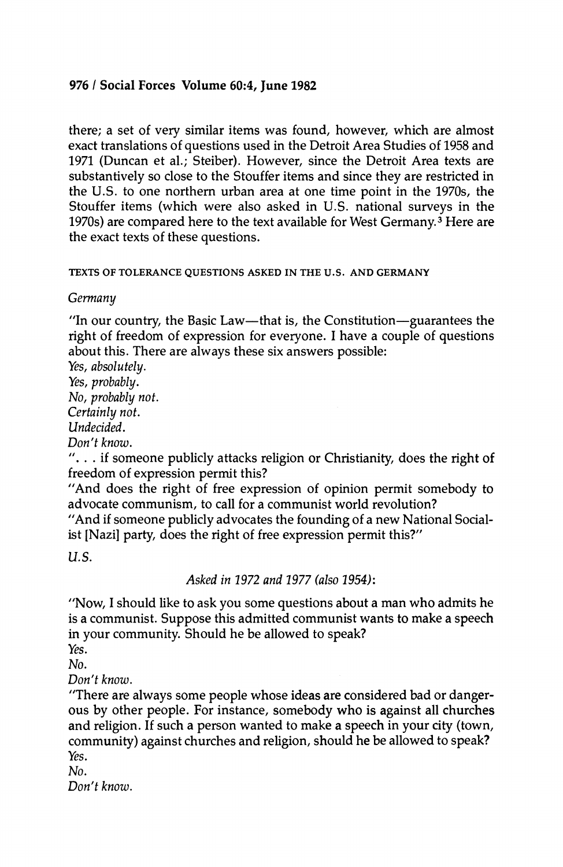**there; a set of very similar items was found, however, which are almost exact translations of questions used in the Detroit Area Studies of 1958 and 1971 (Duncan et al.; Steiber). However, since the Detroit Area texts are substantively so close to the Stouffer items and since they are restricted in the U.S. to one northern urban area at one time point in the 1970s, the Stouffer items (which were also asked in U.S. national surveys in the 1970s) are compared here to the text available for West Germany.3 Here are the exact texts of these questions.** 

## **TEXTS OF TOLERANCE QUESTIONS ASKED IN THE U.S. AND GERMANY**

# **Germany**

**"In our country, the Basic Law-that is, the Constitution-guarantees the right of freedom of expression for everyone. I have a couple of questions about this. There are always these six answers possible:** 

**Yes, absolutely. Yes, probably.** 

**No, probably not.** 

**Certainly not.** 

**Undecided.** 

**Don't know.** 

**". . . if someone publicly attacks religion or Christianity, does the right of freedom of expression permit this?** 

**"And does the right of free expression of opinion permit somebody to advocate communism, to call for a communist world revolution?** 

**"And if someone publicly advocates the founding of a new National Socialist [Nazi] party, does the right of free expression permit this?"** 

**U.S.** 

# **Asked in 1972 and 1977 (also 1954):**

**"Now, I should like to ask you some questions about a man who admits he is a communist. Suppose this admitted communist wants to make a speech in your community. Should he be allowed to speak? Yes.** 

**No.** 

**Don't know.** 

**"There are always some people whose ideas are considered bad or dangerous by other people. For instance, somebody who is against all churches and religion. If such a person wanted to make a speech in your city (town, community) against churches and religion, should he be allowed to speak? Yes.** 

**No.** 

**Don't know.**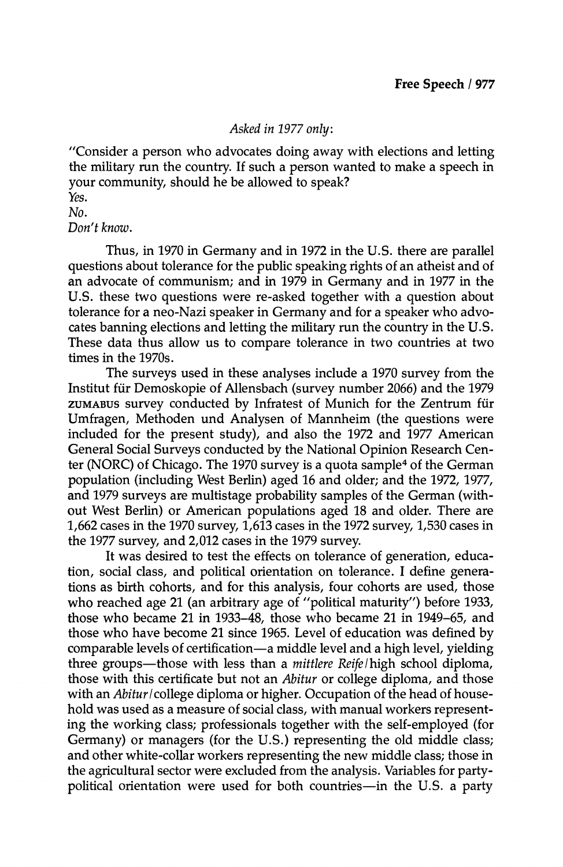#### **Asked in 1977 only:**

**"Consider a person who advocates doing away with elections and letting the military run the country. If such a person wanted to make a speech in your community, should he be allowed to speak?** 

#### **Yes. No.**

**Don't know.** 

**Thus, in 1970 in Germany and in 1972 in the U.S. there are parallel questions about tolerance for the public speaking rights of an atheist and of an advocate of communism; and in 1979 in Germany and in 1977 in the U.S. these two questions were re-asked together with a question about tolerance for a neo-Nazi speaker in Germany and for a speaker who advocates banning elections and letting the military run the country in the U.S. These data thus allow us to compare tolerance in two countries at two times in the 1970s.** 

**The surveys used in these analyses include a 1970 survey from the Institut fur Demoskopie of Allensbach (survey number 2066) and the 1979 ZUMABUS survey conducted by Infratest of Munich for the Zentrum fur Umfragen, Methoden und Analysen of Mannheim (the questions were included for the present study), and also the 1972 and 1977 American General Social Surveys conducted by the National Opinion Research Center (NORC) of Chicago. The 1970 survey is a quota sample4 of the German population (including West Berlin) aged 16 and older; and the 1972, 1977, and 1979 surveys are multistage probability samples of the German (without West Berlin) or American populations aged 18 and older. There are 1,662 cases in the 1970 survey, 1,613 cases in the 1972 survey, 1,530 cases in the 1977 survey, and 2,012 cases in the 1979 survey.** 

**It was desired to test the effects on tolerance of generation, education, social class, and political orientation on tolerance. I define generations as birth cohorts, and for this analysis, four cohorts are used, those who reached age 21 (an arbitrary age of "political maturity") before 1933, those who became 21 in 1933-48, those who became 21 in 1949-65, and those who have become 21 since 1965. Level of education was defined by comparable levels of certification-a middle level and a high level, yielding**  three groups—those with less than a *mittlere Reife*/high school diploma, **those with this certificate but not an Abitur or college diploma, and those with an Abitur/college diploma or higher. Occupation of the head of household was used as a measure of social class, with manual workers representing the working class; professionals together with the self-employed (for Germany) or managers (for the U.S.) representing the old middle class; and other white-collar workers representing the new middle class; those in the agricultural sector were excluded from the analysis. Variables for partypolitical orientation were used for both countries-in the U.S. a party**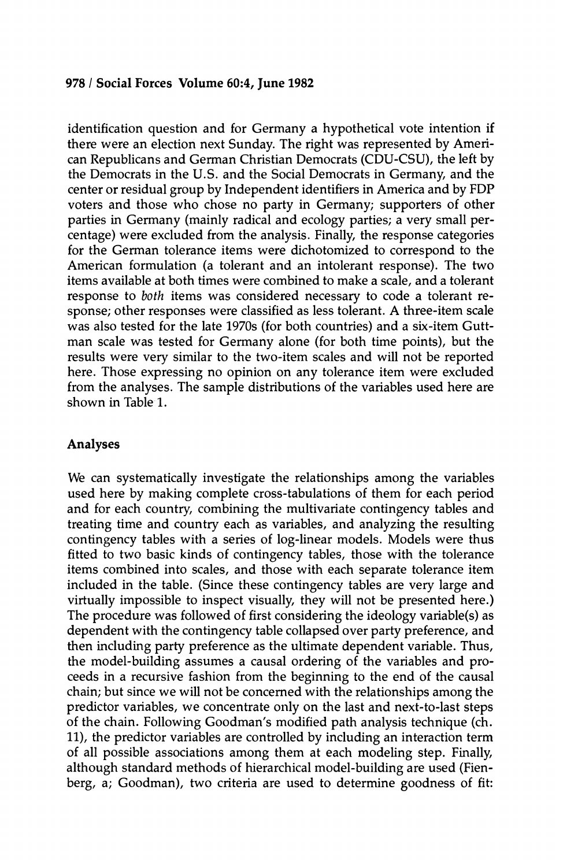**identification question and for Germany a hypothetical vote intention if there were an election next Sunday. The right was represented by American Republicans and German Christian Democrats (CDU-CSU), the left by the Democrats in the U.S. and the Social Democrats in Germany, and the center or residual group by Independent identifiers in America and by FDP voters and those who chose no party in Germany; supporters of other parties in Germany (mainly radical and ecology parties; a very small percentage) were excluded from the analysis. Finally, the response categories for the German tolerance items were dichotomized to correspond to the American formulation (a tolerant and an intolerant response). The two items available at both times were combined to make a scale, and a tolerant response to both items was considered necessary to code a tolerant response; other responses were classified as less tolerant. A three-item scale was also tested for the late 1970s (for both countries) and a six-item Guttman scale was tested for Germany alone (for both time points), but the results were very similar to the two-item scales and will not be reported here. Those expressing no opinion on any tolerance item were excluded from the analyses. The sample distributions of the variables used here are shown in Table 1.** 

## **Analyses**

**We can systematically investigate the relationships among the variables used here by making complete cross-tabulations of them for each period and for each country, combining the multivariate contingency tables and treating time and country each as variables, and analyzing the resulting contingency tables with a series of log-linear models. Models were thus fitted to two basic kinds of contingency tables, those with the tolerance items combined into scales, and those with each separate tolerance item included in the table. (Since these contingency tables are very large and virtually impossible to inspect visually, they will not be presented here.) The procedure was followed of first considering the ideology variable(s) as dependent with the contingency table collapsed over party preference, and then including party preference as the ultimate dependent variable. Thus, the model-building assumes a causal ordering of the variables and proceeds in a recursive fashion from the beginning to the end of the causal chain; but since we will not be concerned with the relationships among the predictor variables, we concentrate only on the last and next-to-last steps of the chain. Following Goodman's modified path analysis technique (ch. 11), the predictor variables are controlled by including an interaction term of all possible associations among them at each modeling step. Finally, although standard methods of hierarchical model-building are used (Fienberg, a; Goodman), two criteria are used to determine goodness of fit:**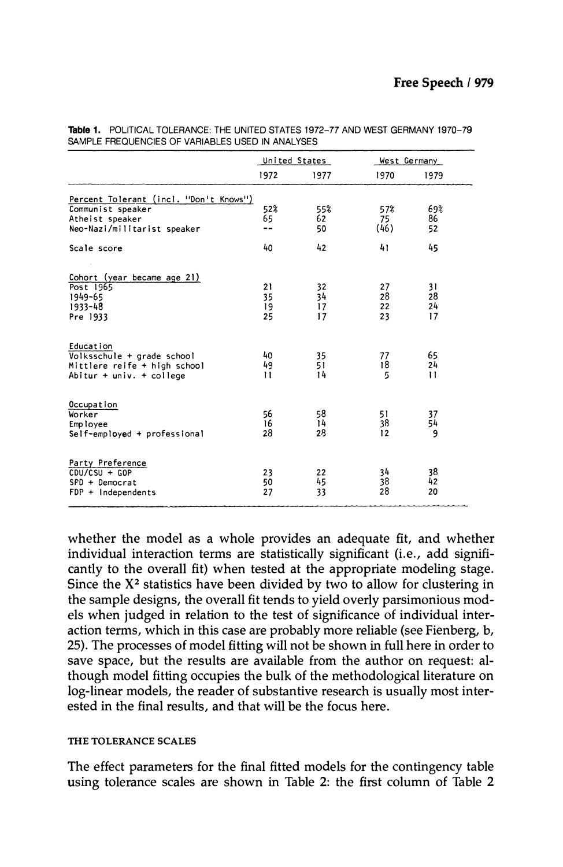|                                                | United States |           | West Germany   |              |
|------------------------------------------------|---------------|-----------|----------------|--------------|
|                                                | 1972          | 1977      | 1970           | 1979         |
| Percent Tolerant (incl. "Don't Knows")         |               |           |                |              |
| Communist speaker                              | 52%           | 55%<br>62 | 57%            | 69%          |
| Atheist speaker<br>Neo-Nazi/militarist speaker | 65<br>--      | 50        | 75<br>(46)     | 86<br>52     |
|                                                |               |           |                |              |
| Scale score                                    | 40            | 42        | 41             | 45           |
|                                                |               |           |                |              |
| Cohort (year became age 21)                    |               |           |                |              |
| Post 1965                                      | 21            | 32        | 27             | 31           |
| 1949-65<br>1933-48                             | 35<br>19      | 34<br>17  | 28<br>22       | 28<br>24     |
| Pre 1933                                       | 25            | 17        | 23             | 17           |
|                                                |               |           |                |              |
|                                                |               |           |                |              |
| Education<br>Volksschule + grade school        | 40            | 35        | 77             | 65           |
| Mittlere reife + high school                   | 49            | 51        | $\frac{18}{5}$ | 24           |
| Abitur + $univ. + college$                     | 11            | 14        |                | $\mathbf{1}$ |
|                                                |               |           |                |              |
| Occupation                                     |               |           |                |              |
| Worker                                         | 56            | 58        | 51             | 37           |
| Employee                                       | 16            | 14        | 38             | 54           |
| Self-employed + professional                   | 28            | 28        | 12             | 9            |
|                                                |               |           |                |              |
| Party Preference                               |               |           |                |              |
| $CDU/CSU + GOP$<br>SPD + Democrat              | 23<br>50      | 22<br>45  | 34<br>38       | 38<br>42     |
| FDP + Independents                             | 27            | 33        | 28             | 20           |
|                                                |               |           |                |              |

**Table 1. POLITICAL TOLERANCE: THE UNITED STATES 1972-77 AND WEST GERMANY 1970-79 SAMPLE FREQUENCIES OF VARIABLES USED IN ANALYSES** 

**whether the model as a whole provides an adequate fit, and whether individual interaction terms are statistically significant (i.e., add significantly to the overall fit) when tested at the appropriate modeling stage. Since the X2 statistics have been divided by two to allow for clustering in the sample designs, the overall fit tends to yield overly parsimonious models when judged in relation to the test of significance of individual interaction terms, which in this case are probably more reliable (see Fienberg, b, 25). The processes of model fitting will not be shown in full here in order to save space, but the results are available from the author on request: although model fitting occupies the bulk of the methodological literature on log-linear models, the reader of substantive research is usually most interested in the final results, and that will be the focus here.** 

#### **THE TOLERANCE SCALES**

**The effect parameters for the final fitted models for the contingency table using tolerance scales are shown in Table 2: the first column of Table 2**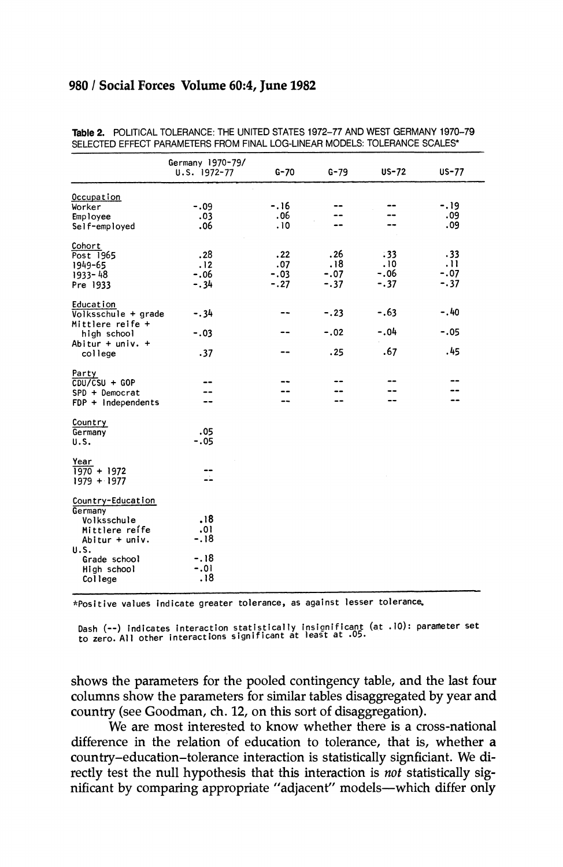|                                                                                                                                     | Germany 1970-79/<br>U.S. 1972-77               | $G - 70$                       | $G - 79$                        | $US-72$                        | $US - 77$                      |
|-------------------------------------------------------------------------------------------------------------------------------------|------------------------------------------------|--------------------------------|---------------------------------|--------------------------------|--------------------------------|
| Occupation<br>Worker<br>Employee<br>Self-employed                                                                                   | $-.09$<br>.03<br>.06                           | $-.16$<br>.06<br>.10           |                                 |                                | $-19$<br>.09<br>.09            |
| Cohort<br>Post 1965<br>1949-65<br>1933-48<br>Pre 1933                                                                               | .28<br>.12<br>$-.06$<br>$-.34$                 | .22<br>.07<br>$-.03$<br>$-.27$ | . 26<br>.18<br>$-.07$<br>$-.37$ | .33<br>.10<br>$-.06$<br>$-.37$ | .33<br>.11<br>$-.07$<br>$-.37$ |
| Education<br>Volksschule + grade<br>Mittlere reife +<br>high school<br>Abitur + $univ.$ +<br>college                                | $-.34$<br>$-.03$<br>.37                        |                                | $-.23$<br>$-.02$<br>.25         | $-.63$<br>$-.04$<br>.67        | $-.40$<br>$-.05$<br>. 45       |
| Party<br>$CDU/CSU + GOP$<br>SPD + Democrat<br>$FDP + Independent$                                                                   |                                                |                                |                                 |                                |                                |
| Country<br>Germany<br>U.S.                                                                                                          | .05<br>$-.05$                                  |                                |                                 |                                |                                |
| Year<br>$1970 + 1972$<br>$1979 + 1977$                                                                                              | ت -                                            |                                |                                 |                                |                                |
| Country-Education<br>Germany<br>Volksschule<br>Mittlere reife<br>Abitur $+$ univ.<br>U.S.<br>Grade school<br>High school<br>College | 18.<br>.01<br>$-.18$<br>-. 18<br>$-.01$<br>.18 |                                |                                 |                                |                                |

**Table 2. POLITICAL TOLERANCE: THE UNITED STATES 1972-77 AND WEST GERMANY 1970-79 SELECTED EFFECT PARAMETERS FROM FINAL LOG-LINEAR MODELS: TOLERANCE SCALES\*** 

**\*Positive values indicate greater tolerance, as against lesser tolerance.** 

**Dash (--) indicates interaction statistically insignificant (at .10): parameter set to zero. All other interactions significant at least at .05.** 

**shows the parameters for the pooled contingency table, and the last four columns show the parameters for similar tables disaggregated by year and country (see Goodman, ch. 12, on this sort of disaggregation).** 

**We are most interested to know whether there is a cross-national difference in the relation of education to tolerance, that is, whether a country-education-tolerance interaction is statistically signficiant. We directly test the null hypothesis that this interaction is not statistically significant by comparing appropriate "adjacent" models-which differ only**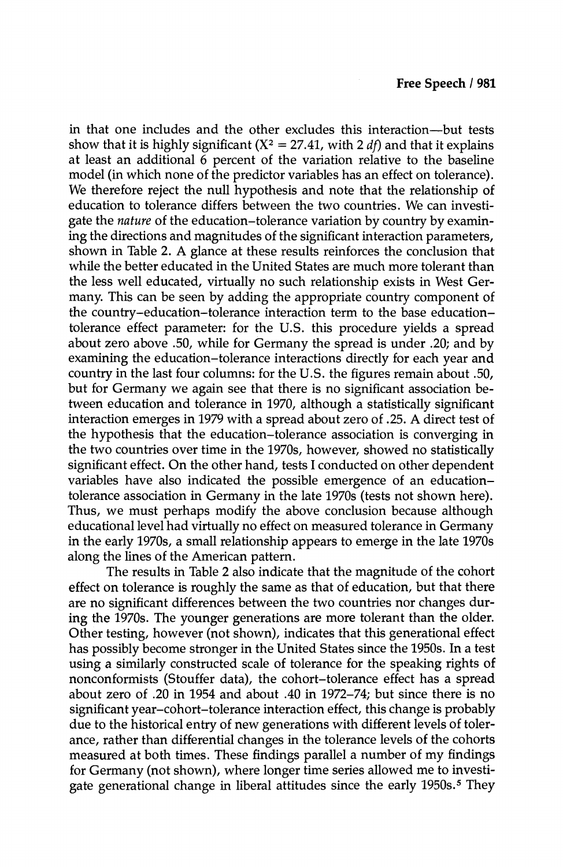**in that one includes and the other excludes this interaction-but tests**  show that it is highly significant  $(X^2 = 27.41)$ , with 2 *df*) and that it explains **at least an additional 6 percent of the variation relative to the baseline model (in which none of the predictor variables has an effect on tolerance). We therefore reject the null hypothesis and note that the relationship of education to tolerance differs between the two countries. We can investigate the nature of the education-tolerance variation by country by examining the directions and magnitudes of the significant interaction parameters, shown in Table 2. A glance at these results reinforces the conclusion that while the better educated in the United States are much more tolerant than the less well educated, virtually no such relationship exists in West Germany. This can be seen by adding the appropriate country component of the country-education-tolerance interaction term to the base educationtolerance effect parameter: for the U.S. this procedure yields a spread about zero above .50, while for Germany the spread is under .20; and by examining the education-tolerance interactions directly for each year and country in the last four columns: for the U.S. the figures remain about .50, but for Germany we again see that there is no significant association between education and tolerance in 1970, although a statistically significant interaction emerges in 1979 with a spread about zero of .25. A direct test of the hypothesis that the education-tolerance association is converging in the two countries over time in the 1970s, however, showed no statistically significant effect. On the other hand, tests I conducted on other dependent variables have also indicated the possible emergence of an educationtolerance association in Germany in the late 1970s (tests not shown here). Thus, we must perhaps modify the above conclusion because although educational level had virtually no effect on measured tolerance in Germany in the early 1970s, a small relationship appears to emerge in the late 1970s along the lines of the American pattern.** 

**The results in Table 2 also indicate that the magnitude of the cohort effect on tolerance is roughly the same as that of education, but that there are no significant differences between the two countries nor changes during the 1970s. The younger generations are more tolerant than the older. Other testing, however (not shown), indicates that this generational effect has possibly become stronger in the United States since the 1950s. In a test using a similarly constructed scale of tolerance for the speaking rights of nonconformists (Stouffer data), the cohort-tolerance effect has a spread about zero of .20 in 1954 and about .40 in 1972-74; but since there is no significant year-cohort-tolerance interaction effect, this change is probably due to the historical entry of new generations with different levels of tolerance, rather than differential changes in the tolerance levels of the cohorts measured at both times. These findings parallel a number of my findings for Germany (not shown), where longer time series allowed me to investigate generational change in liberal attitudes since the early 1950s.5 They**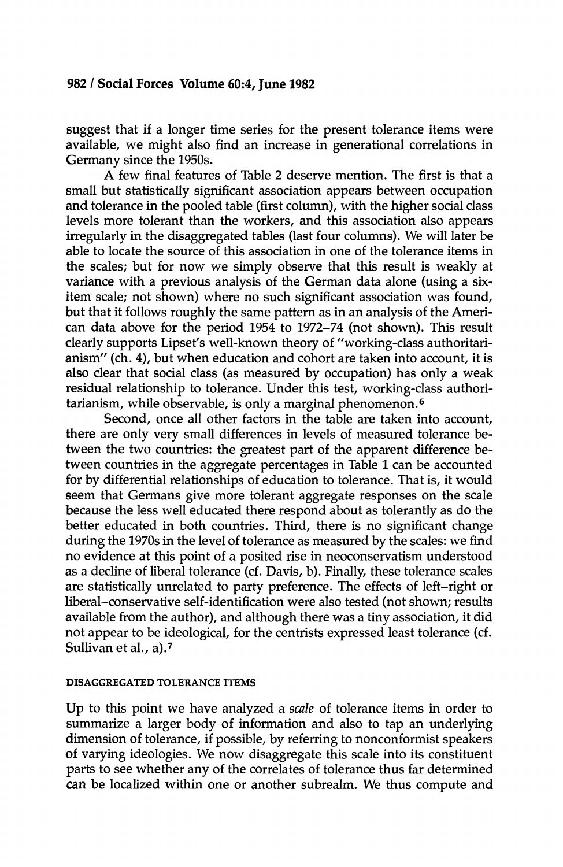**suggest that if a longer time series for the present tolerance items were available, we might also find an increase in generational correlations in Germany since the 1950s.** 

**A few final features of Table 2 deserve mention. The first is that a small but statistically significant association appears between occupation and tolerance in the pooled table (first column), with the higher social class levels more tolerant than the workers, and this association also appears irregularly in the disaggregated tables (last four columns). We will later be able to locate the source of this association in one of the tolerance items in the scales; but for now we simply observe that this result is weakly at variance with a previous analysis of the German data alone (using a sixitem scale; not shown) where no such significant association was found, but that it follows roughly the same pattern as in an analysis of the American data above for the period 1954 to 1972-74 (not shown). This result clearly supports Lipset's well-known theory of "working-class authoritarianism" (ch. 4), but when education and cohort are taken into account, it is also clear that social class (as measured by occupation) has only a weak residual relationship to tolerance. Under this test, working-class authoritarianism, while observable, is only a marginal phenomenon.6** 

**Second, once all other factors in the table are taken into account, there are only very small differences in levels of measured tolerance between the two countries: the greatest part of the apparent difference between countries in the aggregate percentages in Table 1 can be accounted for by differential relationships of education to tolerance. That is, it would seem that Germans give more tolerant aggregate responses on the scale because the less well educated there respond about as tolerantly as do the better educated in both countries. Third, there is no significant change during the 1970s in the level of tolerance as measured by the scales: we find no evidence at this point of a posited rise in neoconservatism understood as a decline of liberal tolerance (cf. Davis, b). Finally, these tolerance scales are statistically unrelated to party preference. The effects of left-right or liberal-conservative self-identification were also tested (not shown; results available from the author), and although there was a tiny association, it did not appear to be ideological, for the centrists expressed least tolerance (cf. Sullivan et al., a).7** 

#### **DISAGGREGATED TOLERANCE ITEMS**

**Up to this point we have analyzed a scale of tolerance items in order to summarize a larger body of information and also to tap an underlying dimension of tolerance, if possible, by referring to nonconformist speakers of varying ideologies. We now disaggregate this scale into its constituent parts to see whether any of the correlates of tolerance thus far determined can be localized within one or another subrealm. We thus compute and**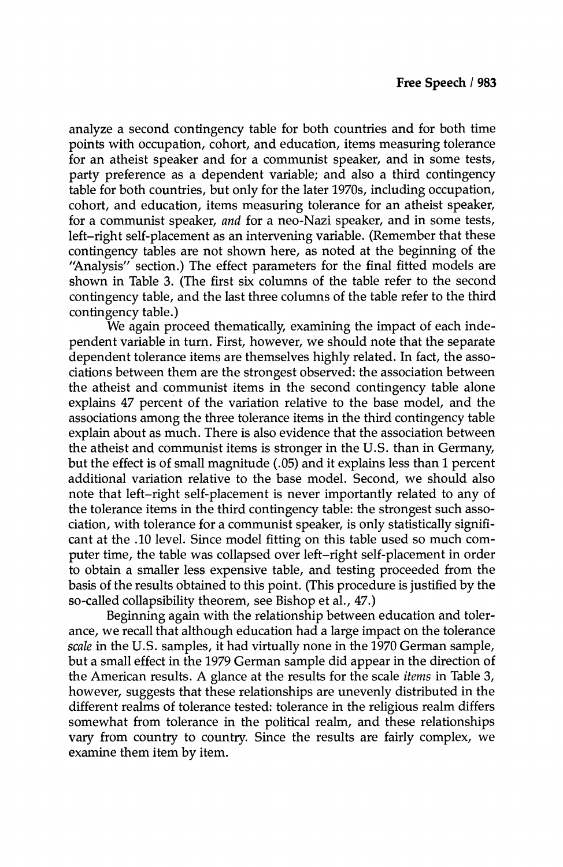**analyze a second contingency table for both countries and for both time points with occupation, cohort, and education, items measuring tolerance for an atheist speaker and for a communist speaker, and in some tests, party preference as a dependent variable; and also a third contingency table for both countries, but only for the later 1970s, including occupation, cohort, and education, items measuring tolerance for an atheist speaker, for a communist speaker, and for a neo-Nazi speaker, and in some tests, left-right self-placement as an intervening variable. (Remember that these contingency tables are not shown here, as noted at the beginning of the "Analysis" section.) The effect parameters for the final fitted models are shown in Table 3. (The first six columns of the table refer to the second contingency table, and the last three columns of the table refer to the third contingency table.)** 

**We again proceed thematically, examining the impact of each independent variable in turn. First, however, we should note that the separate dependent tolerance items are themselves highly related. In fact, the associations between them are the strongest observed: the association between the atheist and communist items in the second contingency table alone explains 47 percent of the variation relative to the base model, and the associations among the three tolerance items in the third contingency table explain about as much. There is also evidence that the association between the atheist and communist items is stronger in the U.S. than in Germany, but the effect is of small magnitude (.05) and it explains less than 1 percent additional variation relative to the base model. Second, we should also note that left-right self-placement is never importantly related to any of the tolerance items in the third contingency table: the strongest such association, with tolerance for a communist speaker, is only statistically significant at the .10 level. Since model fitting on this table used so much computer time, the table was collapsed over left-right self-placement in order to obtain a smaller less expensive table, and testing proceeded from the basis of the results obtained to this point. (This procedure is justified by the so-called collapsibility theorem, see Bishop et al., 47.)** 

**Beginning again with the relationship between education and tolerance, we recall that although education had a large impact on the tolerance scale in the U.S. samples, it had virtually none in the 1970 German sample, but a small effect in the 1979 German sample did appear in the direction of the American results. A glance at the results for the scale items in Table 3, however, suggests that these relationships are unevenly distributed in the different realms of tolerance tested: tolerance in the religious realm differs somewhat from tolerance in the political realm, and these relationships vary from country to country. Since the results are fairly complex, we examine them item by item.**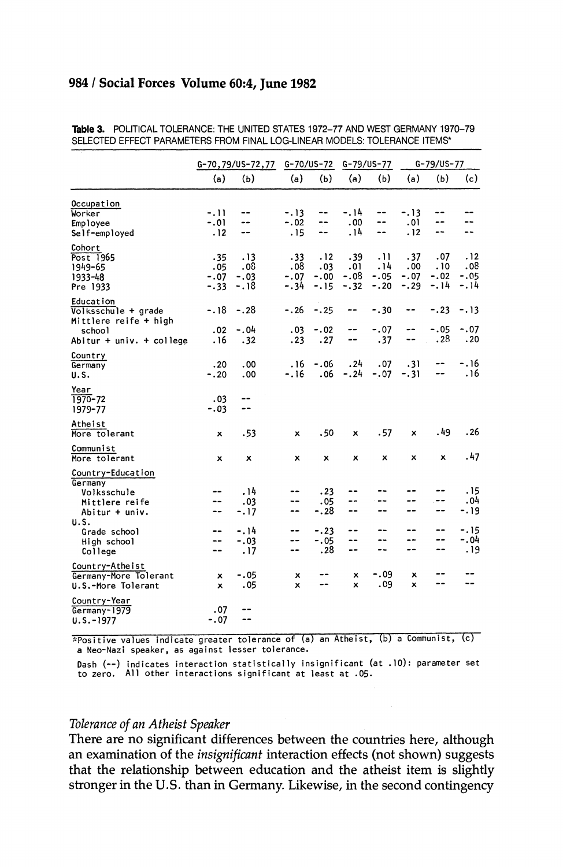|                                                                                                                                   | G-70,79/US-72,77               |                                                |                                |                                                   | G-70/US-72 G-79/US-77            |                                | G-79/US-77                     |                                |                                                |
|-----------------------------------------------------------------------------------------------------------------------------------|--------------------------------|------------------------------------------------|--------------------------------|---------------------------------------------------|----------------------------------|--------------------------------|--------------------------------|--------------------------------|------------------------------------------------|
|                                                                                                                                   | (a)                            | (b)                                            | (a)                            | (b)                                               | (a)                              | (b)                            | (a)                            | (b)                            | (c)                                            |
| Occupation<br>Worker<br>Employee<br>Self-employed                                                                                 | -.11<br>$-.01$<br>. 12         |                                                | -. 13<br>$-.02$<br>.15         | --<br>--<br>--                                    | -. 14<br>.00<br>.14              | --<br>--<br>--                 | -. 13<br>.01<br>.12            | --<br>--                       |                                                |
| Cohort<br>Post 1965<br>1949-65<br>1933-48<br>Pre 1933                                                                             | .35<br>.05<br>$-.07$<br>$-.33$ | . 13<br>.08<br>$-.03$<br>$-18$                 | .33<br>.08<br>$-.07$<br>$-.34$ | .12<br>.03<br>$-.00$<br>$-.15$                    | .39<br>.01<br>$-.08$<br>$-.32$   | .11<br>.14<br>$-.05$<br>$-.20$ | .37<br>.00<br>$-.07$<br>$-.29$ | 07.<br>. 10<br>$-.02$<br>$-14$ | . 12<br>.08<br>$-.05$<br>$-.14$                |
| Education<br>Volksschule + grade<br>Mittlere reife + high<br>school<br>Abitur + univ. $+$ college                                 | $-.18$<br>.02<br>16.           | $-.28$<br>$-.04$<br>.32                        | $-.26$<br>.03<br>.23           | $-.25$<br>$-.02$<br>.27                           | --<br>--<br>$- -$                | $-.30$<br>$-.07$<br>.37        | ۰-<br>--<br>--                 | $-.23$<br>$-.05$<br>.28        | $-13$<br>$-.07$<br>.20                         |
| Country<br>Germany<br>U.S.                                                                                                        | .20<br>$-.20$                  | .00<br>.00                                     | . 16<br>-. 16                  | $-.06$<br>. 06                                    | .24                              | .07<br>$-.24-.07$              | .31<br>$-.31$                  | --<br>$\overline{\phantom{a}}$ | - 16<br>16.                                    |
| Year<br>$1970 - 72$<br>1979-77                                                                                                    | .03<br>$-.03$                  | --<br>--                                       |                                |                                                   |                                  |                                |                                |                                |                                                |
| Atheist<br>More tolerant                                                                                                          | x                              | .53                                            | ×                              | .50                                               | ×                                | .57                            | x                              | . 49                           | .26                                            |
| Communist<br>More tolerant                                                                                                        | x                              | x                                              | ×                              | x                                                 | x                                | x                              | ×                              | ×                              | .47                                            |
| Country-Education<br>Germany<br>Volksschule<br>Mittlere reife<br>Abitur + univ.<br>U.S.<br>Grade school<br>High school<br>College |                                | .14<br>.03<br>$-.17$<br>-. 14<br>$-.03$<br>.17 | --<br>--                       | . 23<br>.05<br>$-.28$<br>$-.23$<br>$-.05$<br>. 28 | --<br>--<br>--<br>--<br>--<br>-- |                                |                                | --<br>--<br>--<br>--           | . 15<br>.04<br>$-19$<br>$-15$<br>$-.04$<br>.19 |
| Country-Atheist<br>Germany-More Tolerant<br>U.S.-More Tolerant                                                                    | x<br>x                         | $-.05$<br>. 05                                 | x<br>x                         |                                                   | x<br>×                           | -.09<br>.09                    | ×<br>x                         | --                             |                                                |
| Country-Year<br>Germany-1979<br>$U.S.-1977$                                                                                       | 07.<br>$-.07$                  | --                                             |                                |                                                   |                                  |                                |                                |                                |                                                |

**Table 3. POLITICAL TOLERANCE: THE UNITED STATES 1972-77 AND WEST GERMANY 1970-79 SELECTED EFFECT PARAMETERS FROM FINAL LOG-LINEAR MODELS: TOLERANCE ITEMS\*** 

**\*Positive values indicate greater tolerance of (a) an Atheist, (b) a Communist, (c) a Neo-Nazi speaker, as against lesser tolerance.** 

**Dash (--) indicates interaction statistically insignificant (at .10): parameter set to zero. All other interactions significant at least at .05.** 

#### **Tolerance of an Atheist Speaker**

**There are no significant differences between the countries here, although an examination of the insignificant interaction effects (not shown) suggests that the relationship between education and the atheist item is slightly stronger in the U.S. than in Germany. Likewise, in the second contingency**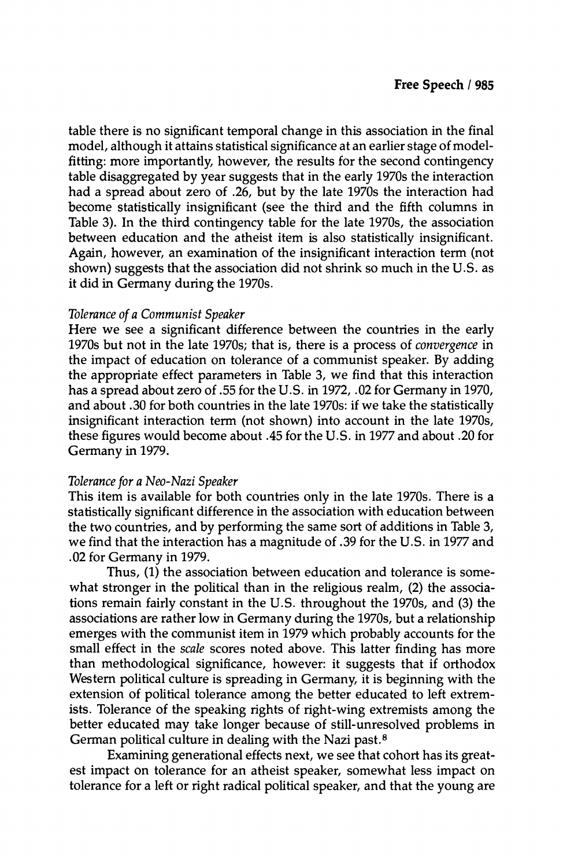**table there is no significant temporal change in this association in the final model, although it attains statistical significance at an earlier stage of modelfitting: more importantly, however, the results for the second contingency table disaggregated by year suggests that in the early 1970s the interaction had a spread about zero of .26, but by the late 1970s the interaction had become statistically insignificant (see the third and the fifth columns in Table 3). In the third contingency table for the late 1970s, the association between education and the atheist item is also statistically insignificant. Again, however, an examination of the insignificant interaction term (not shown) suggests that the association did not shrink so much in the U.S. as it did in Germany during the 1970s.** 

## **Tolerance of a Communist Speaker**

**Here we see a significant difference between the countries in the early 1970s but not in the late 1970s; that is, there is a process of convergence in the impact of education on tolerance of a communist speaker. By adding the appropriate effect parameters in Table 3, we find that this interaction has a spread about zero of .55 for the U.S. in 1972, .02 for Germany in 1970, and about .30 for both countries in the late 1970s: if we take the statistically insignificant interaction term (not shown) into account in the late 1970s, these figures would become about .45 for the U.S. in 1977 and about .20 for Germany in 1979.** 

## **Tolerance for a Neo-Nazi Speaker**

**This item is available for both countries only in the late 1970s. There is a statistically significant difference in the association with education between the two countries, and by performing the same sort of additions in Table 3, we find that the interaction has a magnitude of .39 for the U.S. in 1977 and .02 for Germany in 1979.** 

**Thus, (1) the association between education and tolerance is somewhat stronger in the political than in the religious realm, (2) the associations remain fairly constant in the U.S. throughout the 1970s, and (3) the associations are rather low in Germany during the 1970s, but a relationship emerges with the communist item in 1979 which probably accounts for the small effect in the scale scores noted above. This latter finding has more than methodological significance, however: it suggests that if orthodox Western political culture is spreading in Germany, it is beginning with the extension of political tolerance among the better educated to left extremists. Tolerance of the speaking rights of right-wing extremists among the better educated may take longer because of still-unresolved problems in German political culture in dealing with the Nazi past.8** 

**Examining generational effects next, we see that cohort has its greatest impact on tolerance for an atheist speaker, somewhat less impact on tolerance for a left or right radical political speaker, and that the young are**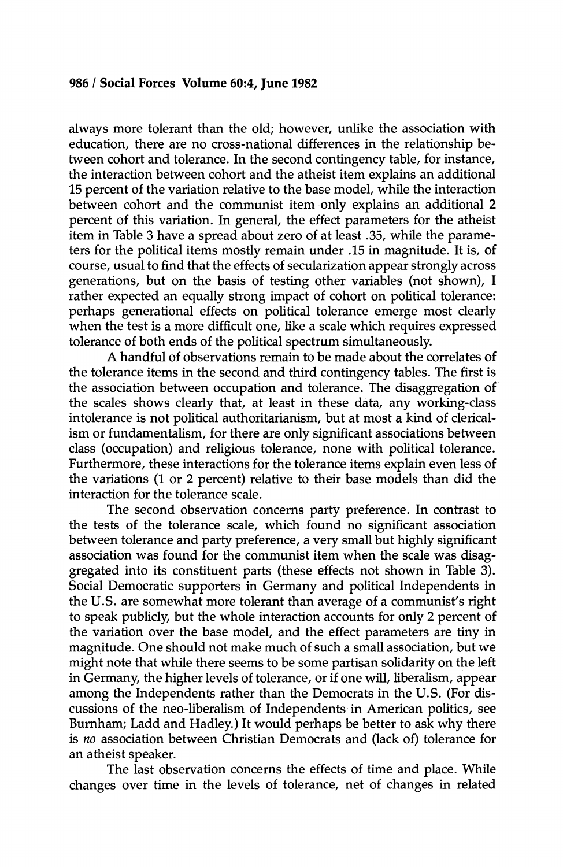**always more tolerant than the old; however, unlike the association with education, there are no cross-national differences in the relationship between cohort and tolerance. In the second contingency table, for instance, the interaction between cohort and the atheist item explains an additional 15 percent of the variation relative to the base model, while the interaction between cohort and the communist item only explains an additional 2 percent of this variation. In general, the effect parameters for the atheist item in Table 3 have a spread about zero of at least .35, while the parameters for the political items mostly remain under .15 in magnitude. It is, of course, usual to find that the effects of secularization appear strongly across generations, but on the basis of testing other variables (not shown), I rather expected an equally strong impact of cohort on political tolerance: perhaps generational effects on political tolerance emerge most clearly when the test is a more difficult one, like a scale which requires expressed tolerance of both ends of the political spectrum simultaneously.** 

**A handful of observations remain to be made about the correlates of the tolerance items in the second and third contingency tables. The first is the association between occupation and tolerance. The disaggregation of the scales shows clearly that, at least in these data, any working-class intolerance is not political authoritarianism, but at most a kind of clericalism or fundamentalism, for there are only significant associations between class (occupation) and religious tolerance, none with political tolerance. Furthermore, these interactions for the tolerance items explain even less of the variations (1 or 2 percent) relative to their base models than did the interaction for the tolerance scale.** 

**The second observation concerns party preference. In contrast to the tests of the tolerance scale, which found no significant association between tolerance and party preference, a very small but highly significant association was found for the communist item when the scale was disaggregated into its constituent parts (these effects not shown in Table 3). Social Democratic supporters in Germany and political Independents in the U.S. are somewhat more tolerant than average of a communist's right to speak publicly, but the whole interaction accounts for only 2 percent of the variation over the base model, and the effect parameters are tiny in magnitude. One should not make much of such a small association, but we might note that while there seems to be some partisan solidarity on the left in Germany, the higher levels of tolerance, or if one will, liberalism, appear among the Independents rather than the Democrats in the U.S. (For discussions of the neo-liberalism of Independents in American politics, see Burnham; Ladd and Hadley.) It would perhaps be better to ask why there is no association between Christian Democrats and (lack of) tolerance for an atheist speaker.** 

**The last observation concerns the effects of time and place. While changes over time in the levels of tolerance, net of changes in related**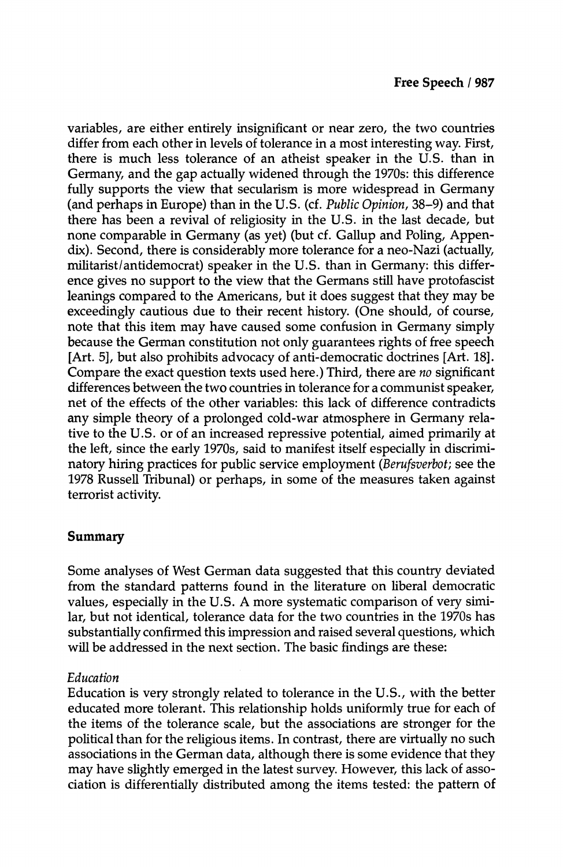**variables, are either entirely insignificant or near zero, the two countries differ from each other in levels of tolerance in a most interesting way. First, there is much less tolerance of an atheist speaker in the U.S. than in Germany, and the gap actually widened through the 1970s: this difference fully supports the view that secularism is more widespread in Germany (and perhaps in Europe) than in the U.S. (cf. Public Opinion, 38-9) and that there has been a revival of religiosity in the U.S. in the last decade, but none comparable in Germany (as yet) (but cf. Gallup and Poling, Appendix). Second, there is considerably more tolerance for a neo-Nazi (actually, militarist/antidemocrat) speaker in the U.S. than in Germany: this difference gives no support to the view that the Germans still have protofascist leanings compared to the Americans, but it does suggest that they may be exceedingly cautious due to their recent history. (One should, of course, note that this item may have caused some confusion in Germany simply because the German constitution not only guarantees rights of free speech [Art. 5], but also prohibits advocacy of anti-democratic doctrines [Art. 18]. Compare the exact question texts used here.) Third, there are no significant differences between the two countries in tolerance for a communist speaker, net of the effects of the other variables: this lack of difference contradicts any simple theory of a prolonged cold-war atmosphere in Germany relative to the U.S. or of an increased repressive potential, aimed primarily at the left, since the early 1970s, said to manifest itself especially in discriminatory hiring practices for public service employment (Berufsverbot; see the 1978 Russell Tribunal) or perhaps, in some of the measures taken against terrorist activity.** 

# **Summary**

**Some analyses of West German data suggested that this country deviated from the standard patterns found in the literature on liberal democratic values, especially in the U.S. A more systematic comparison of very similar, but not identical, tolerance data for the two countries in the 1970s has substantially confirmed this impression and raised several questions, which will be addressed in the next section. The basic findings are these:** 

## **Education**

**Education is very strongly related to tolerance in the U.S., with the better educated more tolerant. This relationship holds uniformly true for each of the items of the tolerance scale, but the associations are stronger for the political than for the religious items. In contrast, there are virtually no such associations in the German data, although there is some evidence that they may have slightly emerged in the latest survey. However, this lack of association is differentially distributed among the items tested: the pattern of**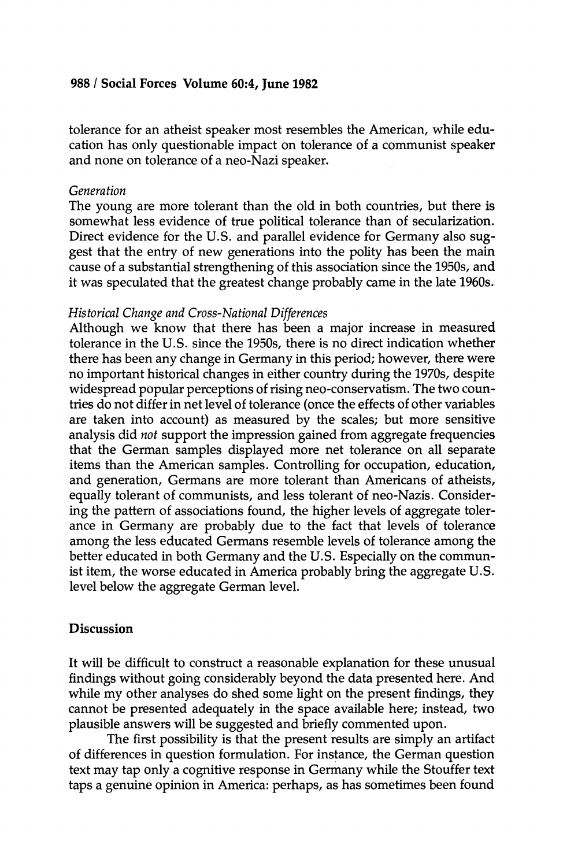**tolerance for an atheist speaker most resembles the American, while education has only questionable impact on tolerance of a communist speaker and none on tolerance of a neo-Nazi speaker.** 

## **Generation**

**The young are more tolerant than the old in both countries, but there is somewhat less evidence of true political tolerance than of secularization. Direct evidence for the U.S. and parallel evidence for Germany also suggest that the entry of new generations into the polity has been the main cause of a substantial strengthening of this association since the 1950s, and it was speculated that the greatest change probably came in the late 1960s.** 

## **Historical Change and Cross-National Differences**

**Although we know that there has been a major increase in measured tolerance in the U.S. since the 1950s, there is no direct indication whether there has been any change in Germany in this period; however, there were no important historical changes in either country during the 1970s, despite widespread popular perceptions of rising neo-conservatism. The two countries do not differ in net level of tolerance (once the effects of other variables are taken into account) as measured by the scales; but more sensitive analysis did not support the impression gained from aggregate frequencies that the German samples displayed more net tolerance on all separate items than the American samples. Controlling for occupation, education, and generation, Germans are more tolerant than Americans of atheists, equally tolerant of communists, and less tolerant of neo-Nazis. Considering the pattern of associations found, the higher levels of aggregate tolerance in Germany are probably due to the fact that levels of tolerance among the less educated Germans resemble levels of tolerance among the better educated in both Germany and the U.S. Especially on the communist item, the worse educated in America probably bring the aggregate U.S. level below the aggregate German level.** 

## **Discussion**

**It will be difficult to construct a reasonable explanation for these unusual findings without going considerably beyond the data presented here. And while my other analyses do shed some light on the present findings, they cannot be presented adequately in the space available here; instead, two plausible answers will be suggested and briefly commented upon.** 

**The first possibility is that the present results are simply an artifact of differences in question formulation. For instance, the German question text may tap only a cognitive response in Germany while the Stouffer text taps a genuine opinion in America: perhaps, as has sometimes been found**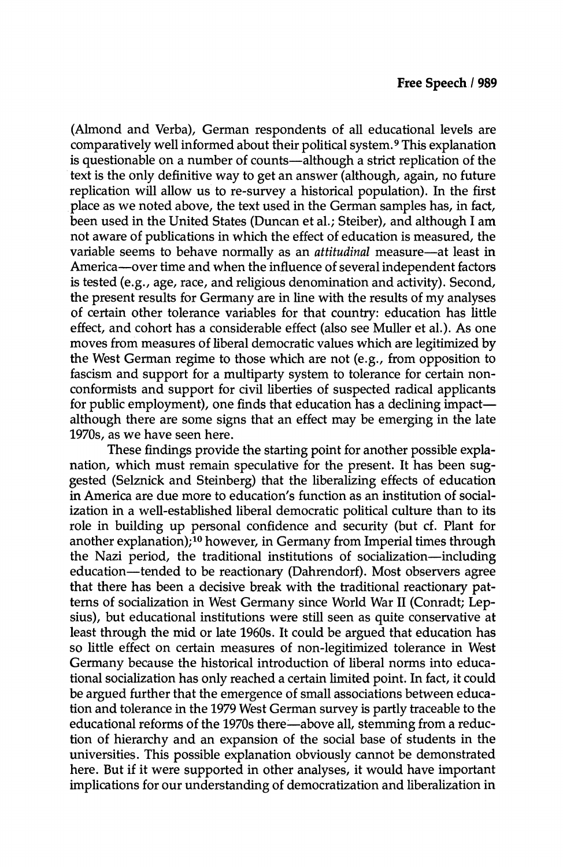**(Almond and Verba), German respondents of all educational levels are comparatively well informed about their political system.9 This explanation is questionable on a number of counts-although a strict replication of the text is the only definitive way to get an answer (although, again, no future replication will allow us to re-survey a historical population). In the first place as we noted above, the text used in the German samples has, in fact, been used in the United States (Duncan et al.; Steiber), and although I am not aware of publications in which the effect of education is measured, the variable seems to behave normally as an attitudinal measure-at least in America-over time and when the influence of several independent factors is tested (e.g., age, race, and religious denomination and activity). Second, the present results for Germany are in line with the results of my analyses of certain other tolerance variables for that country: education has little effect, and cohort has a considerable effect (also see Muller et al.). As one moves from measures of liberal democratic values which are legitimized by the West German regime to those which are not (e.g., from opposition to fascism and support for a multiparty system to tolerance for certain nonconformists and support for civil liberties of suspected radical applicants for public employment), one finds that education has a declining impactalthough there are some signs that an effect may be emerging in the late 1970s, as we have seen here.** 

**These findings provide the starting point for another possible explanation, which must remain speculative for the present. It has been suggested (Selznick and Steinberg) that the liberalizing effects of education in America are due more to education's function as an institution of socialization in a well-established liberal democratic political culture than to its role in building up personal confidence and security (but cf. Plant for another explanation);10 however, in Germany from Imperial times through the Nazi period, the traditional institutions of socialization-including education-tended to be reactionary (Dahrendorf). Most observers agree that there has been a decisive break with the traditional reactionary patterns of socialization in West Germany since World War II (Conradt; Lepsius), but educational institutions were still seen as quite conservative at least through the mid or late 1960s. It could be argued that education has so little effect on certain measures of non-legitimized tolerance in West Germany because the historical introduction of liberal norms into educational socialization has only reached a certain limited point. In fact, it could be argued further that the emergence of small associations between education and tolerance in the 1979 West German survey is partly traceable to the**  educational reforms of the 1970s there—above all, stemming from a reduc**tion of hierarchy and an expansion of the social base of students in the universities. This possible explanation obviously cannot be demonstrated here. But if it were supported in other analyses, it would have important implications for our understanding of democratization and liberalization in**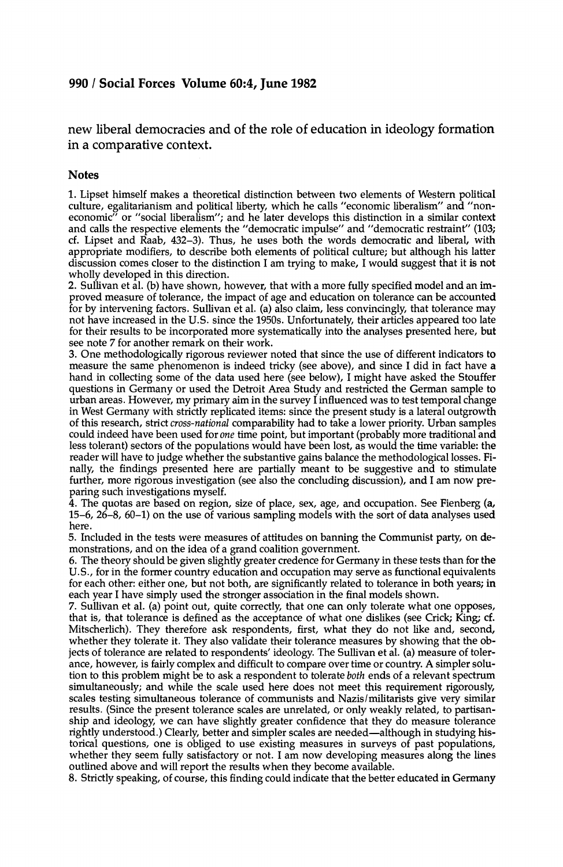**new liberal democracies and of the role of education in ideology formation in a comparative context.** 

#### **Notes**

**1. Lipset himself makes a theoretical distinction between two elements of Western political culture, egalitarianism and political liberty, which he calls "economic liberalism" and "noneconomic" or "social liberalism"; and he later develops this distinction in a similar context and calls the respective elements the "democratic impulse" and "democratic restraint" (103; cf. Lipset and Raab, 432-3). Thus, he uses both the words democratic and liberal, with appropriate modifiers, to describe both elements of political culture; but although his latter discussion comes closer to the distinction I am trying to make, I would suggest that it is not wholly developed in this direction.** 

**2. Sullivan et al. (b) have shown, however, that with a more fully specified model and an improved measure of tolerance, the impact of age and education on tolerance can be accounted for by intervening factors. Sullivan et al. (a) also claim, less convincingly, that tolerance may not have increased in the U.S. since the 1950s. Unfortunately, their articles appeared too late for their results to be incorporated more systematically into the analyses presented here, but see note 7 for another remark on their work.** 

**3. One methodologically rigorous reviewer noted that since the use of different indicators to measure the same phenomenon is indeed tricky (see above), and since I did in fact have a hand in collecting some of the data used here (see below), I might have asked the Stouffer questions in Germany or used the Detroit Area Study and restricted the German sample to urban areas. However, my primary aim in the survey I influenced was to test temporal change in West Germany with strictly replicated items: since the present study is a lateral outgrowth of this research, strict cross-national comparability had to take a lower priority. Urban samples could indeed have been used for one time point, but important (probably more traditional and less tolerant) sectors of the populations would have been lost, as would the time variable: the reader will have to judge whether the substantive gains balance the methodological losses. Finally, the findings presented here are partially meant to be suggestive and to stimulate further, more rigorous investigation (see also the concluding discussion), and I am now preparing such investigations myself.** 

**4. The quotas are based on region, size of place, sex, age, and occupation. See Fienberg (a, 15-6, 26-8, 60-1) on the use of various sampling models with the sort of data analyses used here.** 

**5. Included in the tests were measures of attitudes on banning the Communist party, on demonstrations, and on the idea of a grand coalition government.** 

**6. The theory should be given slightly greater credence for Germany in these tests than for the U.S., for in the former country education and occupation may serve as functional equivalents for each other: either one, but not both, are significantly related to tolerance in both years; in each year I have simply used the stronger association in the final models shown.** 

**7. Sullivan et al. (a) point out, quite correctly, that one can only tolerate what one opposes, that is, that tolerance is defined as the acceptance of what one dislikes (see Crick; King; cf. Mitscherlich). They therefore ask respondents, first, what they do not like and, second, whether they tolerate it. They also validate their tolerance measures by showing that the objects of tolerance are related to respondents' ideology. The Sullivan et al. (a) measure of tolerance, however, is fairly complex and difficult to compare over time or country. A simpler solution to this problem might be to ask a respondent to tolerate both ends of a relevant spectrum simultaneously; and while the scale used here does not meet this requirement rigorously, scales testing simultaneous tolerance of communists and Nazis/militarists give very similar results. (Since the present tolerance scales are unrelated, or only weakly related, to partisanship and ideology, we can have slightly greater confidence that they do measure tolerance rightly understood.) Clearly, better and simpler scales are needed-although in studying historical questions, one is obliged to use existing measures in surveys of past populations, whether they seem fully satisfactory or not. I am now developing measures along the lines outlined above and will report the results when they become available.** 

**8. Strictly speaking, of course, this finding could indicate that the better educated in Germany**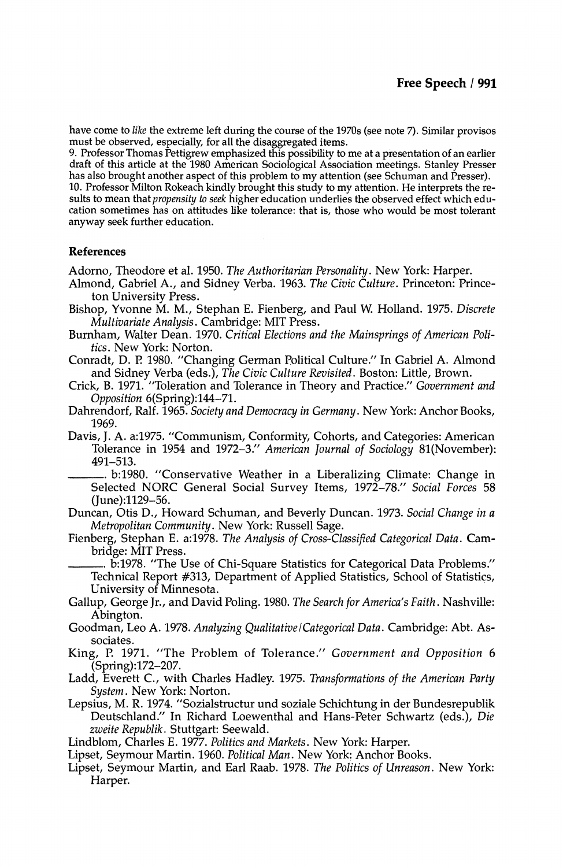**have come to like the extreme left during the course of the 1970s (see note 7). Similar provisos must be observed, especially, for all the disaggregated items.** 

**9. Professor Thomas Pettigrew emphasized this possibility to me at a presentation of an earlier draft of this article at the 1980 American Sociological Association meetings. Stanley Presser has also brought another aspect of this problem to my attention (see Schuman and Presser). 10. Professor Milton Rokeach kindly brought this study to my attention. He interprets the results to mean that propensity to seek higher education underlies the observed effect which education sometimes has on attitudes like tolerance: that is, those who would be most tolerant anyway seek further education.** 

#### **References**

**Adorno, Theodore et al. 1950. The Authoritarian Personality. New York: Harper.** 

- Almond, Gabriel A., and Sidney Verba. 1963. The Civic Culture. Princeton: Prince**ton University Press.**
- **Bishop, Yvonne M. M., Stephan E. Fienberg, and Paul W Holland. 1975. Discrete Multivariate Analysis. Cambridge: MIT Press.**
- **Burnham, Walter Dean. 1970. Critical Elections and the Mainsprings of American Politics. New York: Norton.**
- **Conradt, D. P 1980. "Changing German Political Culture." In Gabriel A. Almond and Sidney Verba (eds.), The Civic Culture Revisited. Boston: Little, Brown.**
- **Crick, B. 1971. "Toleration and Tolerance in Theory and Practice." Government and Opposition 6(Spring):144-71.**
- **Dahrendorf, Ralf. 1965. Society and Democracy in Germany. New York: Anchor Books, 1969.**
- **Davis, J. A. a:1975. "Communism, Conformity, Cohorts, and Categories: American Tolerance in 1954 and 1972-3." American Journal of Sociology 81(November): 491-513.** 
	- **. b:1980. "Conservative Weather in a Liberalizing Climate: Change in Selected NORC General Social Survey Items, 1972-78." Social Forces 58 (June):1129-56.**
- **Duncan, Otis D., Howard Schuman, and Beverly Duncan. 1973. Social Change in a Metropolitan Community. New York: Russell Sage.**
- **Fienberg, Stephan E. a:1978. The Analysis of Cross-Classified Categorical Data. Cambridge: MIT Press.**

**. b:1978. "The Use of Chi-Square Statistics for Categorical Data Problems." Technical Report #313, Department of Applied Statistics, School of Statistics, University of Minnesota.** 

**Gallup, George Jr., and David Poling. 1980. The Search for America's Faith. Nashville: Abington.** 

- **Goodman, Leo A. 1978. Analyzing QualitativelCategorical Data. Cambridge: Abt. Associates.**
- **King, P. 1971. "The Problem of Tolerance." Government and Opposition 6 (Spring):172-207.**
- **Ladd, Everett C., with Charles Hadley. 1975. Transformations of the American Party System. New York: Norton.**
- **Lepsius, M. R. 1974. "Sozialstructur und soziale Schichtung in der Bundesrepublik Deutschland." In Richard Loewenthal and Hans-Peter Schwartz (eds.), Die zweite Republik. Stuttgart: Seewald.**
- **Lindblom, Charles E. 1977. Politics and Markets. New York: Harper.**
- **Lipset, Seymour Martin. 1960. Political Man. New York: Anchor Books.**
- **Lipset, Seymour Martin, and Earl Raab. 1978. The Politics of Unreason. New York: Harper.**